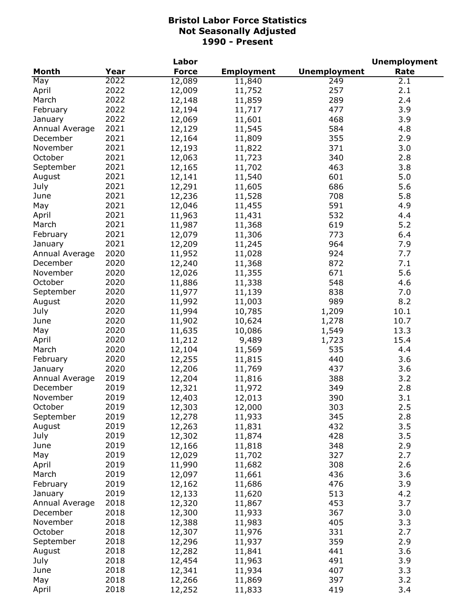|                |      | Labor        |                   |                     | <b>Unemployment</b> |
|----------------|------|--------------|-------------------|---------------------|---------------------|
| <b>Month</b>   | Year | <b>Force</b> | <b>Employment</b> | <b>Unemployment</b> | Rate                |
| May            | 2022 | 12,089       | 11,840            | 249                 | 2.1                 |
| April          | 2022 | 12,009       | 11,752            | 257                 | 2.1                 |
| March          | 2022 | 12,148       | 11,859            | 289                 | 2.4                 |
| February       | 2022 | 12,194       | 11,717            | 477                 | 3.9                 |
| January        | 2022 | 12,069       | 11,601            | 468                 | 3.9                 |
| Annual Average | 2021 | 12,129       | 11,545            | 584                 | 4.8                 |
| December       | 2021 | 12,164       | 11,809            | 355                 | 2.9                 |
| November       | 2021 | 12,193       | 11,822            | 371                 | 3.0                 |
| October        | 2021 | 12,063       | 11,723            | 340                 | 2.8                 |
| September      | 2021 | 12,165       | 11,702            | 463                 | 3.8                 |
| August         | 2021 | 12,141       | 11,540            | 601                 | 5.0                 |
| July           | 2021 | 12,291       | 11,605            | 686                 | 5.6                 |
| June           | 2021 | 12,236       | 11,528            | 708                 | 5.8                 |
|                | 2021 | 12,046       | 11,455            | 591                 | 4.9                 |
| May            | 2021 |              |                   | 532                 |                     |
| April          | 2021 | 11,963       | 11,431            |                     | 4.4                 |
| March          |      | 11,987       | 11,368            | 619                 | 5.2                 |
| February       | 2021 | 12,079       | 11,306            | 773                 | 6.4                 |
| January        | 2021 | 12,209       | 11,245            | 964                 | 7.9                 |
| Annual Average | 2020 | 11,952       | 11,028            | 924                 | 7.7                 |
| December       | 2020 | 12,240       | 11,368            | 872                 | 7.1                 |
| November       | 2020 | 12,026       | 11,355            | 671                 | 5.6                 |
| October        | 2020 | 11,886       | 11,338            | 548                 | 4.6                 |
| September      | 2020 | 11,977       | 11,139            | 838                 | 7.0                 |
| August         | 2020 | 11,992       | 11,003            | 989                 | 8.2                 |
| July           | 2020 | 11,994       | 10,785            | 1,209               | 10.1                |
| June           | 2020 | 11,902       | 10,624            | 1,278               | 10.7                |
| May            | 2020 | 11,635       | 10,086            | 1,549               | 13.3                |
| April          | 2020 | 11,212       | 9,489             | 1,723               | 15.4                |
| March          | 2020 | 12,104       | 11,569            | 535                 | 4.4                 |
| February       | 2020 | 12,255       | 11,815            | 440                 | 3.6                 |
| January        | 2020 | 12,206       | 11,769            | 437                 | 3.6                 |
| Annual Average | 2019 | 12,204       | 11,816            | 388                 | 3.2                 |
| December       | 2019 | 12,321       | 11,972            | 349                 | 2.8                 |
| November       | 2019 | 12,403       | 12,013            | 390                 | 3.1                 |
| October        | 2019 | 12,303       | 12,000            | 303                 | 2.5                 |
| September      | 2019 | 12,278       | 11,933            | 345                 | 2.8                 |
| August         | 2019 | 12,263       | 11,831            | 432                 | 3.5                 |
| July           | 2019 | 12,302       | 11,874            | 428                 | 3.5                 |
| June           | 2019 | 12,166       | 11,818            | 348                 | 2.9                 |
| May            | 2019 | 12,029       | 11,702            | 327                 | 2.7                 |
| April          | 2019 | 11,990       | 11,682            | 308                 | 2.6                 |
| March          | 2019 | 12,097       | 11,661            | 436                 | 3.6                 |
| February       | 2019 | 12,162       | 11,686            | 476                 | 3.9                 |
| January        | 2019 | 12,133       | 11,620            | 513                 | 4.2                 |
| Annual Average | 2018 | 12,320       | 11,867            | 453                 | 3.7                 |
| December       | 2018 | 12,300       | 11,933            | 367                 | 3.0                 |
| November       | 2018 | 12,388       | 11,983            | 405                 | 3.3                 |
| October        | 2018 |              |                   | 331                 | 2.7                 |
|                | 2018 | 12,307       | 11,976            |                     |                     |
| September      |      | 12,296       | 11,937            | 359                 | 2.9                 |
| August         | 2018 | 12,282       | 11,841            | 441                 | 3.6                 |
| July           | 2018 | 12,454       | 11,963            | 491                 | 3.9                 |
| June           | 2018 | 12,341       | 11,934            | 407                 | 3.3                 |
| May            | 2018 | 12,266       | 11,869            | 397                 | 3.2                 |
| April          | 2018 | 12,252       | 11,833            | 419                 | 3.4                 |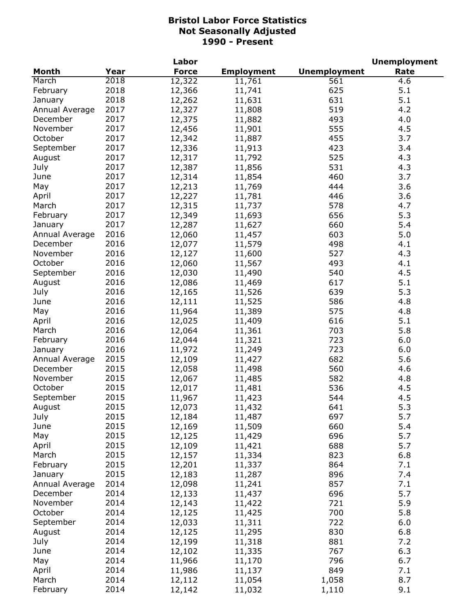|                |      | Labor        |                   |                     | <b>Unemployment</b> |
|----------------|------|--------------|-------------------|---------------------|---------------------|
| <b>Month</b>   | Year | <b>Force</b> | <b>Employment</b> | <b>Unemployment</b> | Rate                |
| March          | 2018 | 12,322       | 11,761            | 561                 | $4.\overline{6}$    |
| February       | 2018 | 12,366       | 11,741            | 625                 | 5.1                 |
| January        | 2018 | 12,262       | 11,631            | 631                 | 5.1                 |
| Annual Average | 2017 | 12,327       | 11,808            | 519                 | 4.2                 |
| December       | 2017 | 12,375       | 11,882            | 493                 | 4.0                 |
| November       | 2017 | 12,456       | 11,901            | 555                 | 4.5                 |
| October        | 2017 | 12,342       | 11,887            | 455                 | 3.7                 |
| September      | 2017 | 12,336       | 11,913            | 423                 | 3.4                 |
| August         | 2017 | 12,317       | 11,792            | 525                 | 4.3                 |
| July           | 2017 | 12,387       | 11,856            | 531                 | 4.3                 |
| June           | 2017 | 12,314       | 11,854            | 460                 | 3.7                 |
| May            | 2017 | 12,213       | 11,769            | 444                 | 3.6                 |
|                |      |              |                   |                     |                     |
| April          | 2017 | 12,227       | 11,781            | 446                 | 3.6                 |
| March          | 2017 | 12,315       | 11,737            | 578                 | 4.7                 |
| February       | 2017 | 12,349       | 11,693            | 656                 | 5.3                 |
| January        | 2017 | 12,287       | 11,627            | 660                 | 5.4                 |
| Annual Average | 2016 | 12,060       | 11,457            | 603                 | 5.0                 |
| December       | 2016 | 12,077       | 11,579            | 498                 | 4.1                 |
| November       | 2016 | 12,127       | 11,600            | 527                 | 4.3                 |
| October        | 2016 | 12,060       | 11,567            | 493                 | 4.1                 |
| September      | 2016 | 12,030       | 11,490            | 540                 | 4.5                 |
| August         | 2016 | 12,086       | 11,469            | 617                 | 5.1                 |
| July           | 2016 | 12,165       | 11,526            | 639                 | 5.3                 |
| June           | 2016 | 12,111       | 11,525            | 586                 | 4.8                 |
| May            | 2016 | 11,964       | 11,389            | 575                 | 4.8                 |
| April          | 2016 | 12,025       | 11,409            | 616                 | 5.1                 |
| March          | 2016 | 12,064       | 11,361            | 703                 | 5.8                 |
| February       | 2016 | 12,044       | 11,321            | 723                 | 6.0                 |
| January        | 2016 | 11,972       | 11,249            | 723                 | 6.0                 |
| Annual Average | 2015 | 12,109       | 11,427            | 682                 | 5.6                 |
| December       | 2015 | 12,058       | 11,498            | 560                 | 4.6                 |
| November       | 2015 | 12,067       | 11,485            | 582                 | 4.8                 |
| October        | 2015 | 12,017       | 11,481            | 536                 | 4.5                 |
| September      | 2015 | 11,967       | 11,423            | 544                 | 4.5                 |
| August         | 2015 | 12,073       | 11,432            | 641                 | 5.3                 |
| July           | 2015 | 12,184       | 11,487            | 697                 | 5.7                 |
| June           | 2015 | 12,169       | 11,509            | 660                 | 5.4                 |
| May            | 2015 | 12,125       | 11,429            | 696                 | 5.7                 |
| April          | 2015 | 12,109       | 11,421            | 688                 | 5.7                 |
| March          | 2015 | 12,157       | 11,334            | 823                 | 6.8                 |
|                | 2015 |              |                   | 864                 | 7.1                 |
| February       |      | 12,201       | 11,337            |                     |                     |
| January        | 2015 | 12,183       | 11,287            | 896                 | 7.4                 |
| Annual Average | 2014 | 12,098       | 11,241            | 857                 | 7.1                 |
| December       | 2014 | 12,133       | 11,437            | 696                 | 5.7                 |
| November       | 2014 | 12,143       | 11,422            | 721                 | 5.9                 |
| October        | 2014 | 12,125       | 11,425            | 700                 | 5.8                 |
| September      | 2014 | 12,033       | 11,311            | 722                 | 6.0                 |
| August         | 2014 | 12,125       | 11,295            | 830                 | 6.8                 |
| July           | 2014 | 12,199       | 11,318            | 881                 | 7.2                 |
| June           | 2014 | 12,102       | 11,335            | 767                 | 6.3                 |
| May            | 2014 | 11,966       | 11,170            | 796                 | 6.7                 |
| April          | 2014 | 11,986       | 11,137            | 849                 | 7.1                 |
| March          | 2014 | 12,112       | 11,054            | 1,058               | 8.7                 |
| February       | 2014 | 12,142       | 11,032            | 1,110               | 9.1                 |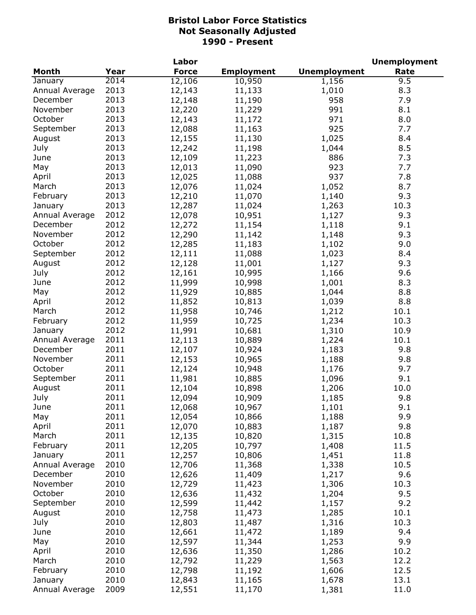|                |      | Labor        |                   |                     | <b>Unemployment</b> |
|----------------|------|--------------|-------------------|---------------------|---------------------|
| <b>Month</b>   | Year | <b>Force</b> | <b>Employment</b> | <b>Unemployment</b> | Rate                |
| January        | 2014 | 12,106       | 10,950            | 1,156               | 9.5                 |
| Annual Average | 2013 | 12,143       | 11,133            | 1,010               | 8.3                 |
| December       | 2013 | 12,148       | 11,190            | 958                 | 7.9                 |
| November       | 2013 | 12,220       | 11,229            | 991                 | 8.1                 |
| October        | 2013 | 12,143       | 11,172            | 971                 | 8.0                 |
| September      | 2013 | 12,088       | 11,163            | 925                 | 7.7                 |
| August         | 2013 | 12,155       | 11,130            | 1,025               | 8.4                 |
| July           | 2013 | 12,242       | 11,198            | 1,044               | 8.5                 |
| June           | 2013 | 12,109       | 11,223            | 886                 | 7.3                 |
| May            | 2013 | 12,013       | 11,090            | 923                 | 7.7                 |
| April          | 2013 | 12,025       | 11,088            | 937                 | 7.8                 |
| March          | 2013 | 12,076       | 11,024            | 1,052               | 8.7                 |
| February       | 2013 | 12,210       | 11,070            | 1,140               | 9.3                 |
| January        | 2013 | 12,287       | 11,024            | 1,263               | 10.3                |
| Annual Average | 2012 | 12,078       | 10,951            | 1,127               | 9.3                 |
| December       | 2012 | 12,272       | 11,154            | 1,118               | 9.1                 |
| November       | 2012 | 12,290       | 11,142            | 1,148               | 9.3                 |
| October        | 2012 | 12,285       | 11,183            | 1,102               | 9.0                 |
| September      | 2012 | 12,111       | 11,088            | 1,023               | 8.4                 |
| August         | 2012 | 12,128       | 11,001            | 1,127               | 9.3                 |
| July           | 2012 | 12,161       | 10,995            | 1,166               | 9.6                 |
| June           | 2012 | 11,999       | 10,998            | 1,001               | 8.3                 |
| May            | 2012 | 11,929       | 10,885            | 1,044               | 8.8                 |
| April          | 2012 | 11,852       | 10,813            | 1,039               | 8.8                 |
| March          | 2012 | 11,958       | 10,746            | 1,212               | 10.1                |
| February       | 2012 | 11,959       | 10,725            | 1,234               | 10.3                |
| January        | 2012 | 11,991       | 10,681            | 1,310               | 10.9                |
| Annual Average | 2011 | 12,113       | 10,889            | 1,224               | 10.1                |
| December       | 2011 | 12,107       | 10,924            | 1,183               | 9.8                 |
| November       | 2011 | 12,153       | 10,965            | 1,188               | 9.8                 |
| October        | 2011 | 12,124       | 10,948            | 1,176               | 9.7                 |
| September      | 2011 | 11,981       | 10,885            | 1,096               | 9.1                 |
| August         | 2011 | 12,104       | 10,898            | 1,206               | 10.0                |
| July           | 2011 | 12,094       | 10,909            | 1,185               | 9.8                 |
| June           | 2011 | 12,068       | 10,967            | 1,101               | 9.1                 |
| May            | 2011 | 12,054       | 10,866            | 1,188               | 9.9                 |
| April          | 2011 | 12,070       | 10,883            | 1,187               | 9.8                 |
| March          | 2011 | 12,135       | 10,820            | 1,315               | 10.8                |
| February       | 2011 | 12,205       | 10,797            | 1,408               | 11.5                |
| January        | 2011 | 12,257       | 10,806            | 1,451               | 11.8                |
| Annual Average | 2010 | 12,706       | 11,368            | 1,338               | 10.5                |
| December       | 2010 | 12,626       | 11,409            | 1,217               | 9.6                 |
| November       | 2010 | 12,729       | 11,423            | 1,306               | 10.3                |
| October        | 2010 | 12,636       | 11,432            | 1,204               | 9.5                 |
| September      | 2010 | 12,599       | 11,442            | 1,157               | 9.2                 |
| August         | 2010 | 12,758       | 11,473            | 1,285               | 10.1                |
| July           | 2010 | 12,803       | 11,487            | 1,316               | 10.3                |
| June           | 2010 | 12,661       | 11,472            | 1,189               | 9.4                 |
| May            | 2010 | 12,597       | 11,344            | 1,253               | 9.9                 |
| April          | 2010 | 12,636       | 11,350            | 1,286               | 10.2                |
| March          | 2010 | 12,792       | 11,229            | 1,563               | 12.2                |
| February       | 2010 | 12,798       | 11,192            | 1,606               | 12.5                |
| January        | 2010 | 12,843       | 11,165            | 1,678               | 13.1                |
| Annual Average | 2009 | 12,551       | 11,170            | 1,381               | 11.0                |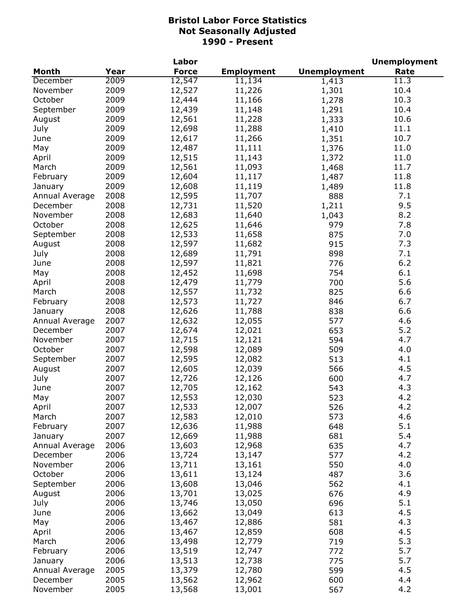|                |      | Labor        |                   |                     | <b>Unemployment</b> |
|----------------|------|--------------|-------------------|---------------------|---------------------|
| <b>Month</b>   | Year | <b>Force</b> | <b>Employment</b> | <b>Unemployment</b> | Rate                |
| December       | 2009 | 12,547       | 11,134            | 1,413               | 11.3                |
| November       | 2009 | 12,527       | 11,226            | 1,301               | 10.4                |
| October        | 2009 | 12,444       | 11,166            | 1,278               | 10.3                |
| September      | 2009 | 12,439       | 11,148            | 1,291               | 10.4                |
| August         | 2009 | 12,561       | 11,228            | 1,333               | 10.6                |
| July           | 2009 | 12,698       | 11,288            | 1,410               | 11.1                |
| June           | 2009 | 12,617       | 11,266            | 1,351               | 10.7                |
| May            | 2009 | 12,487       | 11,111            | 1,376               | 11.0                |
| April          | 2009 | 12,515       | 11,143            | 1,372               | 11.0                |
| March          | 2009 | 12,561       | 11,093            | 1,468               | 11.7                |
| February       | 2009 | 12,604       | 11,117            | 1,487               | 11.8                |
| January        | 2009 | 12,608       | 11,119            | 1,489               | 11.8                |
| Annual Average | 2008 | 12,595       | 11,707            | 888                 | 7.1                 |
| December       | 2008 | 12,731       | 11,520            | 1,211               | 9.5                 |
| November       | 2008 | 12,683       | 11,640            | 1,043               | 8.2                 |
| October        | 2008 | 12,625       | 11,646            | 979                 | 7.8                 |
| September      | 2008 | 12,533       | 11,658            | 875                 | 7.0                 |
| August         | 2008 | 12,597       | 11,682            | 915                 | 7.3                 |
|                | 2008 |              |                   |                     | 7.1                 |
| July           |      | 12,689       | 11,791            | 898                 |                     |
| June           | 2008 | 12,597       | 11,821            | 776                 | 6.2                 |
| May            | 2008 | 12,452       | 11,698            | 754                 | 6.1                 |
| April          | 2008 | 12,479       | 11,779            | 700                 | 5.6                 |
| March          | 2008 | 12,557       | 11,732            | 825                 | 6.6                 |
| February       | 2008 | 12,573       | 11,727            | 846                 | 6.7                 |
| January        | 2008 | 12,626       | 11,788            | 838                 | 6.6                 |
| Annual Average | 2007 | 12,632       | 12,055            | 577                 | 4.6                 |
| December       | 2007 | 12,674       | 12,021            | 653                 | 5.2                 |
| November       | 2007 | 12,715       | 12,121            | 594                 | 4.7                 |
| October        | 2007 | 12,598       | 12,089            | 509                 | 4.0                 |
| September      | 2007 | 12,595       | 12,082            | 513                 | 4.1                 |
| August         | 2007 | 12,605       | 12,039            | 566                 | 4.5                 |
| July           | 2007 | 12,726       | 12,126            | 600                 | 4.7                 |
| June           | 2007 | 12,705       | 12,162            | 543                 | 4.3                 |
| May            | 2007 | 12,553       | 12,030            | 523                 | 4.2                 |
| April          | 2007 | 12,533       | 12,007            | 526                 | 4.2                 |
| March          | 2007 | 12,583       | 12,010            | 573                 | 4.6                 |
| February       | 2007 | 12,636       | 11,988            | 648                 | 5.1                 |
| January        | 2007 | 12,669       | 11,988            | 681                 | 5.4                 |
| Annual Average | 2006 | 13,603       | 12,968            | 635                 | 4.7                 |
| December       | 2006 | 13,724       | 13,147            | 577                 | 4.2                 |
| November       | 2006 | 13,711       | 13,161            | 550                 | 4.0                 |
| October        | 2006 | 13,611       | 13,124            | 487                 | 3.6                 |
| September      | 2006 | 13,608       | 13,046            | 562                 | 4.1                 |
| August         | 2006 | 13,701       | 13,025            | 676                 | 4.9                 |
| July           | 2006 | 13,746       | 13,050            | 696                 | 5.1                 |
| June           | 2006 | 13,662       | 13,049            | 613                 | 4.5                 |
| May            | 2006 | 13,467       | 12,886            | 581                 | 4.3                 |
| April          | 2006 | 13,467       | 12,859            | 608                 | 4.5                 |
| March          | 2006 | 13,498       | 12,779            | 719                 | 5.3                 |
| February       | 2006 | 13,519       | 12,747            | 772                 | 5.7                 |
| January        | 2006 | 13,513       | 12,738            | 775                 | 5.7                 |
| Annual Average | 2005 | 13,379       | 12,780            | 599                 | 4.5                 |
| December       | 2005 | 13,562       | 12,962            | 600                 | 4.4                 |
| November       | 2005 | 13,568       | 13,001            | 567                 | 4.2                 |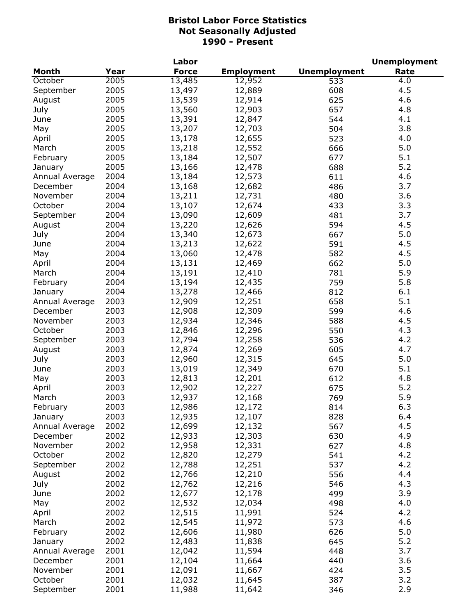|                |      | Labor        |                   |                     | <b>Unemployment</b> |
|----------------|------|--------------|-------------------|---------------------|---------------------|
| <b>Month</b>   | Year | <b>Force</b> | <b>Employment</b> | <b>Unemployment</b> | Rate                |
| October        | 2005 | 13,485       | 12,952            | 533                 | 4.0                 |
| September      | 2005 | 13,497       | 12,889            | 608                 | 4.5                 |
| August         | 2005 | 13,539       | 12,914            | 625                 | 4.6                 |
| July           | 2005 | 13,560       | 12,903            | 657                 | 4.8                 |
| June           | 2005 | 13,391       | 12,847            | 544                 | 4.1                 |
| May            | 2005 | 13,207       | 12,703            | 504                 | 3.8                 |
| April          | 2005 | 13,178       | 12,655            | 523                 | 4.0                 |
| March          | 2005 | 13,218       | 12,552            | 666                 | 5.0                 |
| February       | 2005 | 13,184       | 12,507            | 677                 | 5.1                 |
| January        | 2005 | 13,166       | 12,478            | 688                 | 5.2                 |
| Annual Average | 2004 | 13,184       | 12,573            | 611                 | 4.6                 |
| December       | 2004 | 13,168       | 12,682            | 486                 | 3.7                 |
| November       | 2004 | 13,211       | 12,731            | 480                 | 3.6                 |
| October        | 2004 | 13,107       | 12,674            | 433                 | 3.3                 |
| September      | 2004 | 13,090       | 12,609            | 481                 | 3.7                 |
| August         | 2004 | 13,220       | 12,626            | 594                 | 4.5                 |
| July           | 2004 | 13,340       | 12,673            | 667                 | 5.0                 |
| June           | 2004 | 13,213       | 12,622            | 591                 | 4.5                 |
| May            | 2004 | 13,060       | 12,478            | 582                 | 4.5                 |
| April          | 2004 | 13,131       | 12,469            | 662                 | 5.0                 |
| March          | 2004 | 13,191       | 12,410            | 781                 | 5.9                 |
| February       | 2004 | 13,194       | 12,435            | 759                 | 5.8                 |
| January        | 2004 | 13,278       | 12,466            | 812                 | 6.1                 |
| Annual Average | 2003 | 12,909       | 12,251            | 658                 | 5.1                 |
| December       | 2003 | 12,908       | 12,309            | 599                 | 4.6                 |
| November       | 2003 | 12,934       | 12,346            | 588                 | 4.5                 |
| October        | 2003 | 12,846       | 12,296            | 550                 | 4.3                 |
| September      | 2003 | 12,794       | 12,258            | 536                 | 4.2                 |
| August         | 2003 | 12,874       | 12,269            | 605                 | 4.7                 |
| July           | 2003 | 12,960       | 12,315            | 645                 | 5.0                 |
| June           | 2003 | 13,019       | 12,349            | 670                 | 5.1                 |
| May            | 2003 | 12,813       | 12,201            | 612                 | 4.8                 |
| April          | 2003 | 12,902       | 12,227            | 675                 | 5.2                 |
| March          | 2003 | 12,937       | 12,168            | 769                 | 5.9                 |
| February       | 2003 | 12,986       | 12,172            | 814                 | 6.3                 |
| January        | 2003 | 12,935       | 12,107            | 828                 | 6.4                 |
| Annual Average | 2002 | 12,699       | 12,132            | 567                 | 4.5                 |
| December       | 2002 | 12,933       | 12,303            | 630                 | 4.9                 |
| November       | 2002 | 12,958       | 12,331            | 627                 | 4.8                 |
| October        | 2002 | 12,820       | 12,279            | 541                 | 4.2                 |
| September      | 2002 | 12,788       | 12,251            | 537                 | 4.2                 |
| August         | 2002 | 12,766       | 12,210            | 556                 | 4.4                 |
| July           | 2002 | 12,762       | 12,216            | 546                 | 4.3                 |
| June           | 2002 | 12,677       | 12,178            | 499                 | 3.9                 |
| May            | 2002 | 12,532       | 12,034            | 498                 | 4.0                 |
| April          | 2002 | 12,515       | 11,991            | 524                 | 4.2                 |
| March          | 2002 | 12,545       | 11,972            | 573                 | 4.6                 |
| February       | 2002 | 12,606       | 11,980            | 626                 | 5.0                 |
| January        | 2002 | 12,483       | 11,838            | 645                 | 5.2                 |
| Annual Average | 2001 | 12,042       | 11,594            | 448                 | 3.7                 |
| December       | 2001 | 12,104       | 11,664            | 440                 | 3.6                 |
| November       | 2001 | 12,091       | 11,667            | 424                 | 3.5                 |
| October        | 2001 | 12,032       | 11,645            | 387                 | 3.2                 |
| September      | 2001 | 11,988       | 11,642            | 346                 | 2.9                 |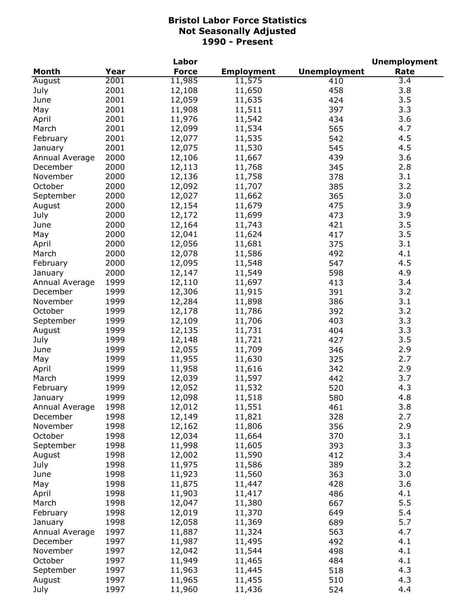|                |      | Labor        |                   |                     | <b>Unemployment</b> |
|----------------|------|--------------|-------------------|---------------------|---------------------|
| Month          | Year | <b>Force</b> | <b>Employment</b> | <b>Unemployment</b> | Rate                |
| August         | 2001 | 11,985       | 11,575            | 410                 | 3.4                 |
| July           | 2001 | 12,108       | 11,650            | 458                 | 3.8                 |
| June           | 2001 | 12,059       | 11,635            | 424                 | 3.5                 |
| May            | 2001 | 11,908       | 11,511            | 397                 | 3.3                 |
| April          | 2001 | 11,976       | 11,542            | 434                 | 3.6                 |
| March          | 2001 | 12,099       | 11,534            | 565                 | 4.7                 |
| February       | 2001 | 12,077       | 11,535            | 542                 | 4.5                 |
| January        | 2001 | 12,075       | 11,530            | 545                 | 4.5                 |
| Annual Average | 2000 | 12,106       | 11,667            | 439                 | 3.6                 |
| December       | 2000 | 12,113       | 11,768            | 345                 | 2.8                 |
| November       | 2000 | 12,136       | 11,758            | 378                 | 3.1                 |
| October        | 2000 | 12,092       | 11,707            | 385                 | 3.2                 |
| September      | 2000 | 12,027       | 11,662            | 365                 | 3.0                 |
| August         | 2000 | 12,154       | 11,679            | 475                 | 3.9                 |
| July           | 2000 | 12,172       | 11,699            | 473                 | 3.9                 |
| June           | 2000 | 12,164       | 11,743            | 421                 | 3.5                 |
| May            | 2000 | 12,041       | 11,624            | 417                 | 3.5                 |
| April          | 2000 | 12,056       | 11,681            | 375                 | 3.1                 |
| March          | 2000 | 12,078       | 11,586            | 492                 | 4.1                 |
| February       | 2000 | 12,095       | 11,548            | 547                 | 4.5                 |
| January        | 2000 | 12,147       | 11,549            | 598                 | 4.9                 |
| Annual Average | 1999 | 12,110       | 11,697            | 413                 | 3.4                 |
| December       | 1999 | 12,306       | 11,915            | 391                 | 3.2                 |
| November       | 1999 | 12,284       | 11,898            | 386                 | 3.1                 |
| October        | 1999 | 12,178       | 11,786            | 392                 | 3.2                 |
| September      | 1999 | 12,109       | 11,706            | 403                 | 3.3                 |
| August         | 1999 | 12,135       | 11,731            | 404                 | 3.3                 |
| July           | 1999 | 12,148       | 11,721            | 427                 | 3.5                 |
| June           | 1999 | 12,055       | 11,709            | 346                 | 2.9                 |
| May            | 1999 | 11,955       | 11,630            | 325                 | 2.7                 |
| April          | 1999 | 11,958       | 11,616            | 342                 | 2.9                 |
| March          | 1999 | 12,039       | 11,597            | 442                 | 3.7                 |
| February       | 1999 | 12,052       | 11,532            | 520                 | 4.3                 |
| January        | 1999 | 12,098       | 11,518            | 580                 | 4.8                 |
| Annual Average | 1998 | 12,012       | 11,551            | 461                 | 3.8                 |
| December       | 1998 | 12,149       | 11,821            | 328                 | 2.7                 |
| November       | 1998 | 12,162       | 11,806            | 356                 | 2.9                 |
| October        | 1998 | 12,034       | 11,664            | 370                 | 3.1                 |
| September      | 1998 | 11,998       | 11,605            | 393                 | 3.3                 |
| August         | 1998 | 12,002       | 11,590            | 412                 | 3.4                 |
| July           | 1998 | 11,975       | 11,586            | 389                 | 3.2                 |
| June           | 1998 | 11,923       | 11,560            | 363                 | 3.0                 |
| May            | 1998 | 11,875       | 11,447            | 428                 | 3.6                 |
| April          | 1998 | 11,903       | 11,417            | 486                 | 4.1                 |
| March          | 1998 | 12,047       | 11,380            | 667                 | 5.5                 |
| February       | 1998 | 12,019       | 11,370            | 649                 | 5.4                 |
| January        | 1998 | 12,058       | 11,369            | 689                 | 5.7                 |
| Annual Average | 1997 | 11,887       | 11,324            | 563                 | 4.7                 |
| December       | 1997 | 11,987       | 11,495            | 492                 | 4.1                 |
| November       | 1997 | 12,042       | 11,544            | 498                 | 4.1                 |
| October        | 1997 | 11,949       | 11,465            | 484                 | 4.1                 |
| September      | 1997 | 11,963       | 11,445            | 518                 | 4.3                 |
| August         | 1997 | 11,965       | 11,455            | 510                 | 4.3                 |
| July           | 1997 | 11,960       | 11,436            | 524                 | 4.4                 |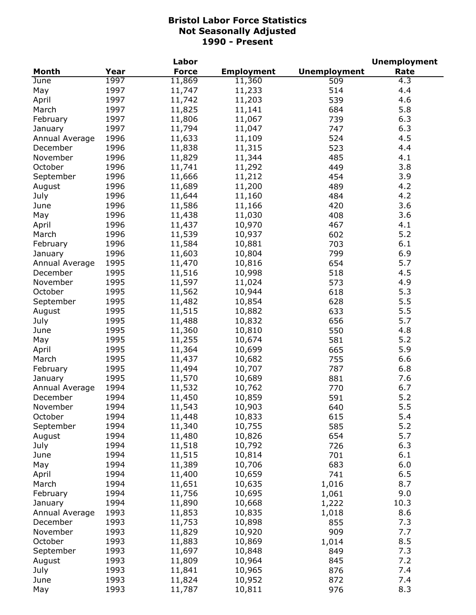|                |      | Labor        |                   |                     | <b>Unemployment</b> |
|----------------|------|--------------|-------------------|---------------------|---------------------|
| <b>Month</b>   | Year | <b>Force</b> | <b>Employment</b> | <b>Unemployment</b> | Rate                |
| June           | 1997 | 11,869       | 11,360            | 509                 | 4.3                 |
| May            | 1997 | 11,747       | 11,233            | 514                 | 4.4                 |
| April          | 1997 | 11,742       | 11,203            | 539                 | 4.6                 |
| March          | 1997 | 11,825       | 11,141            | 684                 | 5.8                 |
| February       | 1997 | 11,806       | 11,067            | 739                 | 6.3                 |
| January        | 1997 | 11,794       | 11,047            | 747                 | 6.3                 |
| Annual Average | 1996 | 11,633       | 11,109            | 524                 | 4.5                 |
| December       | 1996 | 11,838       | 11,315            | 523                 | 4.4                 |
| November       | 1996 | 11,829       | 11,344            | 485                 | 4.1                 |
| October        | 1996 | 11,741       | 11,292            | 449                 | 3.8                 |
|                | 1996 | 11,666       | 11,212            | 454                 | 3.9                 |
| September      |      |              |                   |                     |                     |
| August         | 1996 | 11,689       | 11,200            | 489                 | 4.2                 |
| July           | 1996 | 11,644       | 11,160            | 484                 | 4.2                 |
| June           | 1996 | 11,586       | 11,166            | 420                 | 3.6                 |
| May            | 1996 | 11,438       | 11,030            | 408                 | 3.6                 |
| April          | 1996 | 11,437       | 10,970            | 467                 | 4.1                 |
| March          | 1996 | 11,539       | 10,937            | 602                 | 5.2                 |
| February       | 1996 | 11,584       | 10,881            | 703                 | 6.1                 |
| January        | 1996 | 11,603       | 10,804            | 799                 | 6.9                 |
| Annual Average | 1995 | 11,470       | 10,816            | 654                 | 5.7                 |
| December       | 1995 | 11,516       | 10,998            | 518                 | 4.5                 |
| November       | 1995 | 11,597       | 11,024            | 573                 | 4.9                 |
| October        | 1995 | 11,562       | 10,944            | 618                 | 5.3                 |
| September      | 1995 | 11,482       | 10,854            | 628                 | 5.5                 |
| August         | 1995 | 11,515       | 10,882            | 633                 | 5.5                 |
| July           | 1995 | 11,488       | 10,832            | 656                 | 5.7                 |
| June           | 1995 | 11,360       | 10,810            | 550                 | 4.8                 |
| May            | 1995 | 11,255       | 10,674            | 581                 | 5.2                 |
| April          | 1995 | 11,364       | 10,699            | 665                 | 5.9                 |
| March          | 1995 | 11,437       | 10,682            | 755                 | 6.6                 |
| February       | 1995 | 11,494       | 10,707            | 787                 | 6.8                 |
| January        | 1995 | 11,570       | 10,689            | 881                 | 7.6                 |
| Annual Average | 1994 | 11,532       | 10,762            | 770                 | 6.7                 |
| December       | 1994 | 11,450       | 10,859            | 591                 | 5.2                 |
|                | 1994 |              |                   |                     | 5.5                 |
| November       | 1994 | 11,543       | 10,903            | 640                 | 5.4                 |
| October        |      | 11,448       | 10,833            | 615                 |                     |
| September      | 1994 | 11,340       | 10,755            | 585                 | 5.2                 |
| August         | 1994 | 11,480       | 10,826            | 654                 | 5.7                 |
| July           | 1994 | 11,518       | 10,792            | 726                 | 6.3                 |
| June           | 1994 | 11,515       | 10,814            | 701                 | 6.1                 |
| May            | 1994 | 11,389       | 10,706            | 683                 | 6.0                 |
| April          | 1994 | 11,400       | 10,659            | 741                 | 6.5                 |
| March          | 1994 | 11,651       | 10,635            | 1,016               | 8.7                 |
| February       | 1994 | 11,756       | 10,695            | 1,061               | 9.0                 |
| January        | 1994 | 11,890       | 10,668            | 1,222               | 10.3                |
| Annual Average | 1993 | 11,853       | 10,835            | 1,018               | 8.6                 |
| December       | 1993 | 11,753       | 10,898            | 855                 | 7.3                 |
| November       | 1993 | 11,829       | 10,920            | 909                 | 7.7                 |
| October        | 1993 | 11,883       | 10,869            | 1,014               | 8.5                 |
| September      | 1993 | 11,697       | 10,848            | 849                 | 7.3                 |
| August         | 1993 | 11,809       | 10,964            | 845                 | 7.2                 |
| July           | 1993 | 11,841       | 10,965            | 876                 | 7.4                 |
| June           | 1993 | 11,824       | 10,952            | 872                 | 7.4                 |
| May            | 1993 | 11,787       | 10,811            | 976                 | 8.3                 |